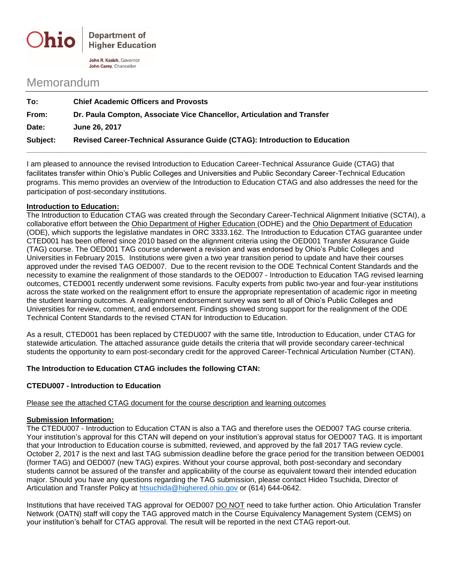

John R. Kasich, Governor John Carey, Chancellor

# Memorandum

| To:      | <b>Chief Academic Officers and Provosts</b>                                |
|----------|----------------------------------------------------------------------------|
| From:    | Dr. Paula Compton, Associate Vice Chancellor, Articulation and Transfer    |
| Date:    | June 26, 2017                                                              |
| Subject: | Revised Career-Technical Assurance Guide (CTAG): Introduction to Education |

I am pleased to announce the revised Introduction to Education Career-Technical Assurance Guide (CTAG) that facilitates transfer within Ohio's Public Colleges and Universities and Public Secondary Career-Technical Education programs. This memo provides an overview of the Introduction to Education CTAG and also addresses the need for the participation of post-secondary institutions.

#### **Introduction to Education:**

The Introduction to Education CTAG was created through the Secondary Career-Technical Alignment Initiative (SCTAI), a collaborative effort between the Ohio Department of Higher Education (ODHE) and the Ohio Department of Education (ODE), which supports the legislative mandates in ORC 3333.162. The Introduction to Education CTAG guarantee under CTED001 has been offered since 2010 based on the alignment criteria using the OED001 Transfer Assurance Guide (TAG) course. The OED001 TAG course underwent a revision and was endorsed by Ohio's Public Colleges and Universities in February 2015. Institutions were given a two year transition period to update and have their courses approved under the revised TAG OED007. Due to the recent revision to the ODE Technical Content Standards and the necessity to examine the realignment of those standards to the OED007 - Introduction to Education TAG revised learning outcomes, CTED001 recently underwent some revisions. Faculty experts from public two-year and four-year institutions across the state worked on the realignment effort to ensure the appropriate representation of academic rigor in meeting the student learning outcomes. A realignment endorsement survey was sent to all of Ohio's Public Colleges and Universities for review, comment, and endorsement. Findings showed strong support for the realignment of the ODE Technical Content Standards to the revised CTAN for Introduction to Education.

As a result, CTED001 has been replaced by CTEDU007 with the same title, Introduction to Education, under CTAG for statewide articulation. The attached assurance guide details the criteria that will provide secondary career-technical students the opportunity to earn post-secondary credit for the approved Career-Technical Articulation Number (CTAN).

## **The Introduction to Education CTAG includes the following CTAN:**

## **CTEDU007 - Introduction to Education**

#### Please see the attached CTAG document for the course description and learning outcomes

## **Submission Information:**

The CTEDU007 - Introduction to Education CTAN is also a TAG and therefore uses the OED007 TAG course criteria. Your institution's approval for this CTAN will depend on your institution's approval status for OED007 TAG. It is important that your Introduction to Education course is submitted, reviewed, and approved by the fall 2017 TAG review cycle. October 2, 2017 is the next and last TAG submission deadline before the grace period for the transition between OED001 (former TAG) and OED007 (new TAG) expires. Without your course approval, both post-secondary and secondary students cannot be assured of the transfer and applicability of the course as equivalent toward their intended education major. Should you have any questions regarding the TAG submission, please contact Hideo Tsuchida, Director of Articulation and Transfer Policy at [htsuchida@highered.ohio.gov](mailto:htsuchida@highered.ohio.gov) or (614) 644-0642.

Institutions that have received TAG approval for OED007 DO NOT need to take further action. Ohio Articulation Transfer Network (OATN) staff will copy the TAG approved match in the Course Equivalency Management System (CEMS) on your institution's behalf for CTAG approval. The result will be reported in the next CTAG report-out.